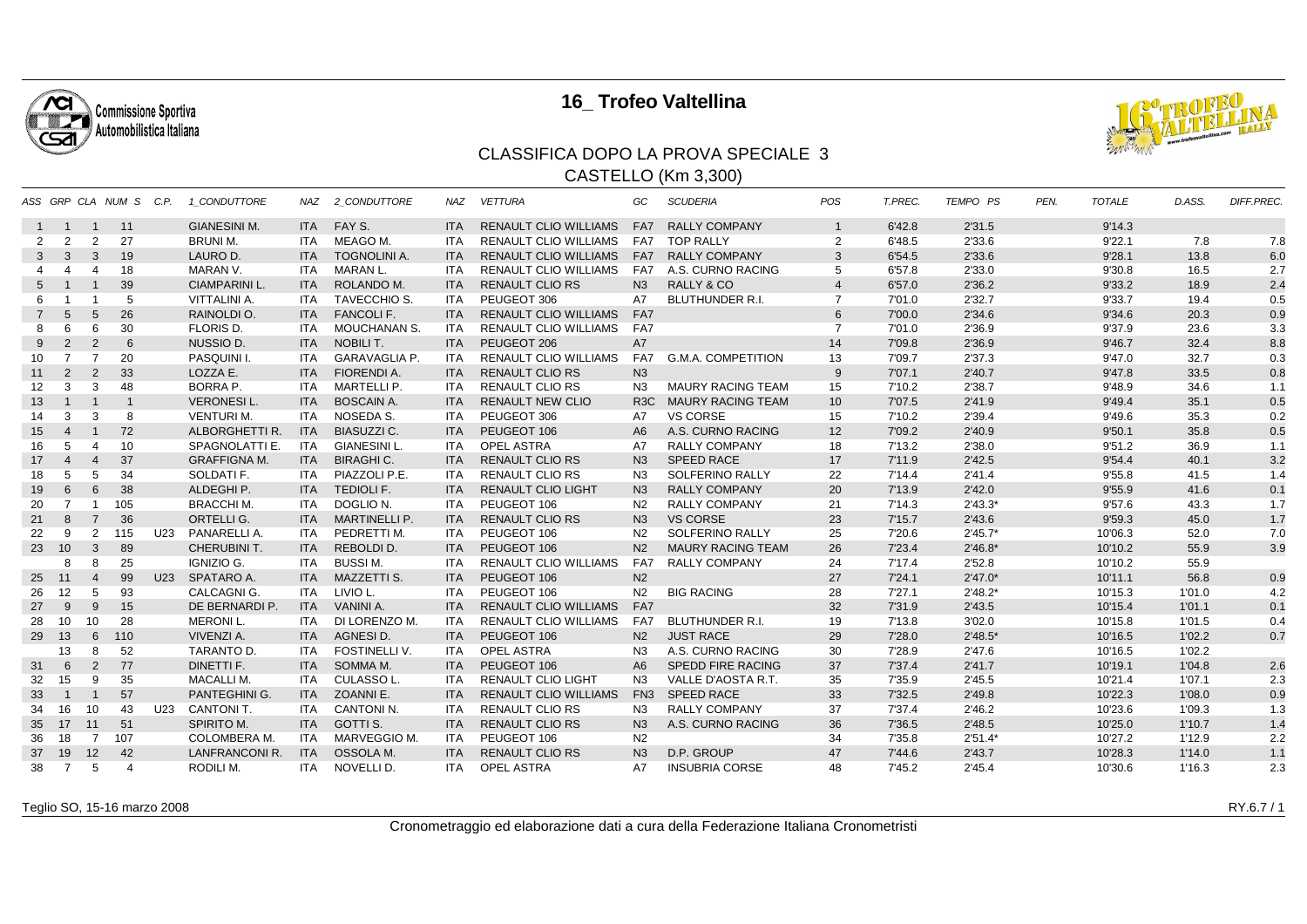

## **16\_ Trofeo Valtellina**



## CLASSIFICA DOPO LA PROVA SPECIALE 3CASTELLO (Km 3,300)

|                   |                       |                         | ASS GRP CLA NUM S C.P.  |     | 1 CONDUTTORE         | NAZ        | 2 CONDUTTORE           | NAZ        | <b>VETTURA</b>               | GC               | <b>SCUDERIA</b>           | POS            | T.PREC. | <b>TEMPO PS</b> | PEN. | <b>TOTALE</b> | D.ASS. | <b>DIFF.PREC.</b> |
|-------------------|-----------------------|-------------------------|-------------------------|-----|----------------------|------------|------------------------|------------|------------------------------|------------------|---------------------------|----------------|---------|-----------------|------|---------------|--------|-------------------|
|                   | $1 \quad 1$           | $\overline{1}$          | 11                      |     | <b>GIANESINI M.</b>  |            | ITA FAY S.             | <b>ITA</b> | <b>RENAULT CLIO WILLIAMS</b> | FA7              | <b>RALLY COMPANY</b>      | $\mathbf{1}$   | 6'42.8  | 2'31.5          |      | 9'14.3        |        |                   |
| 2                 | 2                     | 2                       | 27                      |     | <b>BRUNI M.</b>      | ITA        | MEAGO M.               | <b>ITA</b> | <b>RENAULT CLIO WILLIAMS</b> |                  | FA7 TOP RALLY             | $\overline{2}$ | 6'48.5  | 2'33.6          |      | 9'22.1        | 7.8    | 7.8               |
| 3                 | $\mathbf{3}$          | 3                       | 19                      |     | LAURO D.             | <b>ITA</b> | <b>TOGNOLINI A.</b>    | <b>ITA</b> | <b>RENAULT CLIO WILLIAMS</b> | FA7              | <b>RALLY COMPANY</b>      | 3              | 6'54.5  | 2'33.6          |      | 9'28.1        | 13.8   | 6.0               |
| 4                 |                       | $\overline{4}$          | 18                      |     | MARAN V.             | ITA        | MARAN L.               | <b>ITA</b> | <b>RENAULT CLIO WILLIAMS</b> | FA7              | A.S. CURNO RACING         | 5              | 6'57.8  | 2'33.0          |      | 9'30.8        | 16.5   | 2.7               |
| $5^{\circ}$       |                       | $\overline{1}$          | 39                      |     | <b>CIAMPARINI L.</b> | <b>ITA</b> | ROLANDO M.             | <b>ITA</b> | <b>RENAULT CLIO RS</b>       | N <sub>3</sub>   | <b>RALLY &amp; CO</b>     | 4              | 6'57.0  | 2'36.2          |      | 9'33.2        | 18.9   | 2.4               |
| 6                 |                       |                         | 5                       |     | VITTALINI A.         | ITA        | TAVECCHIO S.           | <b>ITA</b> | PEUGEOT 306                  | A7               | <b>BLUTHUNDER R.I.</b>    | $\overline{7}$ | 7'01.0  | 2'32.7          |      | 9'33.7        | 19.4   | 0.5               |
| $\overline{7}$    | $\overline{5}$        | 5                       | 26                      |     | RAINOLDI O.          | <b>ITA</b> | <b>FANCOLIF.</b>       | <b>ITA</b> | <b>RENAULT CLIO WILLIAMS</b> | FA7              |                           | 6              | 7'00.0  | 2'34.6          |      | 9'34.6        | 20.3   | 0.9               |
| 8                 | 6                     | 6                       | 30                      |     | FLORIS D.            | ITA        | MOUCHANAN S.           | ITA        | RENAULT CLIO WILLIAMS        | FA7              |                           | $\overline{7}$ | 7'01.0  | 2'36.9          |      | 9'37.9        | 23.6   | 3.3               |
| 9                 | 2                     | $\overline{2}$          | 6                       |     | NUSSIO D.            | <b>ITA</b> | NOBILI T.              | <b>ITA</b> | PEUGEOT 206                  | A7               |                           | 14             | 7'09.8  | 2'36.9          |      | 9'46.7        | 32.4   | 8.8               |
| 10                | $\overline{7}$        | $\overline{7}$          | 20                      |     | PASQUINI I.          | ITA        | <b>GARAVAGLIA P.</b>   | <b>ITA</b> | <b>RENAULT CLIO WILLIAMS</b> | FA7              | <b>G.M.A. COMPETITION</b> | 13             | 7'09.7  | 2'37.3          |      | 9'47.0        | 32.7   | 0.3               |
| 11                | 2                     | 2                       | 33                      |     | LOZZA E.             | <b>ITA</b> | <b>FIORENDI A.</b>     | <b>ITA</b> | <b>RENAULT CLIO RS</b>       | N <sub>3</sub>   |                           | 9              | 7'07.1  | 2'40.7          |      | 9'47.8        | 33.5   | 0.8               |
| $12 \overline{ }$ | 3                     | 3                       | 48                      |     | BORRA P.             | ITA        | MARTELLI P.            | <b>ITA</b> | <b>RENAULT CLIO RS</b>       | N3               | <b>MAURY RACING TEAM</b>  | 15             | 7'10.2  | 2'38.7          |      | 9'48.9        | 34.6   | 1.1               |
| 13                | $\overline{1}$        | $\lceil$                | $\overline{\mathbf{1}}$ |     | <b>VERONESIL.</b>    | <b>ITA</b> | <b>BOSCAIN A.</b>      | <b>ITA</b> | <b>RENAULT NEW CLIO</b>      | R <sub>3</sub> C | <b>MAURY RACING TEAM</b>  | 10             | 7'07.5  | 2'41.9          |      | 9'49.4        | 35.1   | 0.5               |
| 14                | 3                     | 3                       | 8                       |     | <b>VENTURI M.</b>    | ITA        | NOSEDA S.              | <b>ITA</b> | PEUGEOT 306                  | A7               | <b>VS CORSE</b>           | 15             | 7'10.2  | 2'39.4          |      | 9'49.6        | 35.3   | 0.2               |
| 15                | $\overline{4}$        | $\overline{1}$          | 72                      |     | ALBORGHETTI R.       | <b>ITA</b> | <b>BIASUZZI C.</b>     | <b>ITA</b> | PEUGEOT 106                  | A <sub>6</sub>   | A.S. CURNO RACING         | 12             | 7'09.2  | 2'40.9          |      | 9'50.1        | 35.8   | 0.5               |
| 16                | .5                    | $\overline{4}$          | 10                      |     | SPAGNOLATTI E.       | ITA        | <b>GIANESINI L.</b>    | <b>ITA</b> | <b>OPEL ASTRA</b>            | A7               | <b>RALLY COMPANY</b>      | 18             | 7'13.2  | 2'38.0          |      | 9'51.2        | 36.9   | 1.1               |
| 17                | $\boldsymbol{\Delta}$ | $\overline{4}$          | 37                      |     | <b>GRAFFIGNA M.</b>  | <b>ITA</b> | <b>BIRAGHI C.</b>      | <b>ITA</b> | <b>RENAULT CLIO RS</b>       | N3               | <b>SPEED RACE</b>         | 17             | 7'11.9  | 2'42.5          |      | 9'54.4        | 40.1   | 3.2               |
| 18                | 5                     | 5                       | 34                      |     | SOLDATI F.           | ITA        | PIAZZOLI P.E.          | ITA        | <b>RENAULT CLIO RS</b>       | N <sub>3</sub>   | SOLFERINO RALLY           | 22             | 7'14.4  | 2'41.4          |      | 9'55.8        | 41.5   | 1.4               |
| 19                | 6                     | 6                       | 38                      |     | ALDEGHI P.           | <b>ITA</b> | <b>TEDIOLI F.</b>      | <b>ITA</b> | <b>RENAULT CLIO LIGHT</b>    | N3               | <b>RALLY COMPANY</b>      | 20             | 7'13.9  | 2'42.0          |      | 9'55.9        | 41.6   | 0.1               |
| 20                | $\overline{7}$        | $\overline{\mathbf{1}}$ | 105                     |     | <b>BRACCHI M.</b>    | ITA        | DOGLIO N.              | <b>ITA</b> | PEUGEOT 106                  | N <sub>2</sub>   | <b>RALLY COMPANY</b>      | 21             | 7'14.3  | $2'43.3*$       |      | 9'57.6        | 43.3   | 1.7               |
| 21                | 8                     | $\overline{7}$          | 36                      |     | ORTELLI G.           | <b>ITA</b> | <b>MARTINELLI P.</b>   | <b>ITA</b> | <b>RENAULT CLIO RS</b>       | N3               | <b>VS CORSE</b>           | 23             | 7'15.7  | 2'43.6          |      | 9'59.3        | 45.0   | 1.7               |
| 22                | 9                     | 2                       | 115                     | U23 | PANARELLI A.         | <b>ITA</b> | PEDRETTI M.            | <b>ITA</b> | PEUGEOT 106                  | N <sub>2</sub>   | SOLFERINO RALLY           | 25             | 7'20.6  | $2'45.7*$       |      | 10'06.3       | 52.0   | 7.0               |
|                   | 23 10                 | 3                       | 89                      |     | CHERUBINI T.         | <b>ITA</b> | REBOLDI D.             | <b>ITA</b> | PEUGEOT 106                  | N <sub>2</sub>   | <b>MAURY RACING TEAM</b>  | 26             | 7'23.4  | $2'46.8*$       |      | 10'10.2       | 55.9   | 3.9               |
|                   |                       | 8                       | 25                      |     | IGNIZIO G.           | ITA        | <b>BUSSIM.</b>         | <b>ITA</b> | <b>RENAULT CLIO WILLIAMS</b> | FA7              | <b>RALLY COMPANY</b>      | 24             | 7'17.4  | 2'52.8          |      | 10'10.2       | 55.9   |                   |
| 25                | 11                    | $\overline{4}$          | 99                      | U23 | SPATARO A.           | <b>ITA</b> | <b>MAZZETTI S.</b>     | <b>ITA</b> | PEUGEOT 106                  | N <sub>2</sub>   |                           | 27             | 7'24.1  | $2'47.0*$       |      | 10'11.1       | 56.8   | 0.9               |
| 26                | 12                    | 5                       | 93                      |     | CALCAGNI G.          | ITA        | LIVIO L.               | <b>ITA</b> | PEUGEOT 106                  | N <sub>2</sub>   | <b>BIG RACING</b>         | 28             | 7'27.1  | $2'48.2*$       |      | 10'15.3       | 1'01.0 | 4.2               |
| 27                | 9                     | 9                       | 15                      |     | DE BERNARDI P.       | <b>ITA</b> | VANINI A.              | <b>ITA</b> | <b>RENAULT CLIO WILLIAMS</b> | FA7              |                           | 32             | 7'31.9  | 2'43.5          |      | 10'15.4       | 1'01.1 | 0.1               |
| 28                | - 10                  | 10                      | 28                      |     | <b>MERONI L.</b>     | <b>ITA</b> | DI LORENZO M.          | <b>ITA</b> | <b>RENAULT CLIO WILLIAMS</b> | FA7              | <b>BLUTHUNDER R.I.</b>    | 19             | 7'13.8  | 3'02.0          |      | 10'15.8       | 1'01.5 | 0.4               |
| 29                | 13                    | 6                       | 110                     |     | VIVENZI A.           | <b>ITA</b> | AGNESI D.              | <b>ITA</b> | PEUGEOT 106                  | N <sub>2</sub>   | <b>JUST RACE</b>          | 29             | 7'28.0  | $2'48.5*$       |      | 10'16.5       | 1'02.2 | 0.7               |
|                   | 13                    | 8                       | 52                      |     | TARANTO D.           | <b>ITA</b> | FOSTINELLI V.          | <b>ITA</b> | OPEL ASTRA                   | N3               | A.S. CURNO RACING         | 30             | 7'28.9  | 2'47.6          |      | 10'16.5       | 1'02.2 |                   |
| 31                | 6                     | $\overline{2}$          | 77                      |     | DINETTI F.           | <b>ITA</b> | SOMMA M.               | <b>ITA</b> | PEUGEOT 106                  | A <sub>6</sub>   | SPEDD FIRE RACING         | 37             | 7'37.4  | 2'41.7          |      | 10'19.1       | 1'04.8 | 2.6               |
| 32                | 15                    | 9                       | 35                      |     | <b>MACALLI M.</b>    | ITA        | CULASSO L.             | <b>ITA</b> | <b>RENAULT CLIO LIGHT</b>    | N3               | VALLE D'AOSTA R.T.        | 35             | 7'35.9  | 2'45.5          |      | 10'21.4       | 1'07.1 | 2.3               |
| 33                | $\mathbf{1}$          | $\overline{1}$          | 57                      |     | PANTEGHINI G.        | <b>ITA</b> | ZOANNI E.              | <b>ITA</b> | <b>RENAULT CLIO WILLIAMS</b> | FN <sub>3</sub>  | <b>SPEED RACE</b>         | 33             | 7'32.5  | 2'49.8          |      | 10'22.3       | 1'08.0 | 0.9               |
| 34                | 16                    | 10                      | 43                      | U23 | CANTONI T.           | <b>ITA</b> | CANTONI <sub>N</sub> . | <b>ITA</b> | <b>RENAULT CLIO RS</b>       | N <sub>3</sub>   | <b>RALLY COMPANY</b>      | 37             | 7'37.4  | 2'46.2          |      | 10'23.6       | 1'09.3 | 1.3               |
| 35                | 17                    | 11                      | 51                      |     | SPIRITO M.           | <b>ITA</b> | <b>GOTTI S.</b>        | <b>ITA</b> | <b>RENAULT CLIO RS</b>       | N3               | A.S. CURNO RACING         | 36             | 7'36.5  | 2'48.5          |      | 10'25.0       | 1'10.7 | 1.4               |
| 36                | 18                    | $\overline{7}$          | 107                     |     | <b>COLOMBERA M.</b>  | ITA        | MARVEGGIO M.           | ITA        | PEUGEOT 106                  | N <sub>2</sub>   |                           | 34             | 7'35.8  | $2'51.4*$       |      | 10'27.2       | 1'12.9 | 2.2               |
| 37                | 19                    | 12                      | 42                      |     | LANFRANCONI R.       | <b>ITA</b> | OSSOLA M.              | <b>ITA</b> | <b>RENAULT CLIO RS</b>       | N3               | D.P. GROUP                | 47             | 7'44.6  | 2'43.7          |      | 10'28.3       | 1'14.0 | 1.1               |
| 38                | $\overline{7}$        | 5                       | $\overline{4}$          |     | RODILI M.            | ITA        | NOVELLI D.             | ITA        | <b>OPEL ASTRA</b>            | A7               | <b>INSUBRIA CORSE</b>     | 48             | 7'45.2  | 2'45.4          |      | 10'30.6       | 1'16.3 | 2.3               |

Teglio SO, 15-16 marzo 2008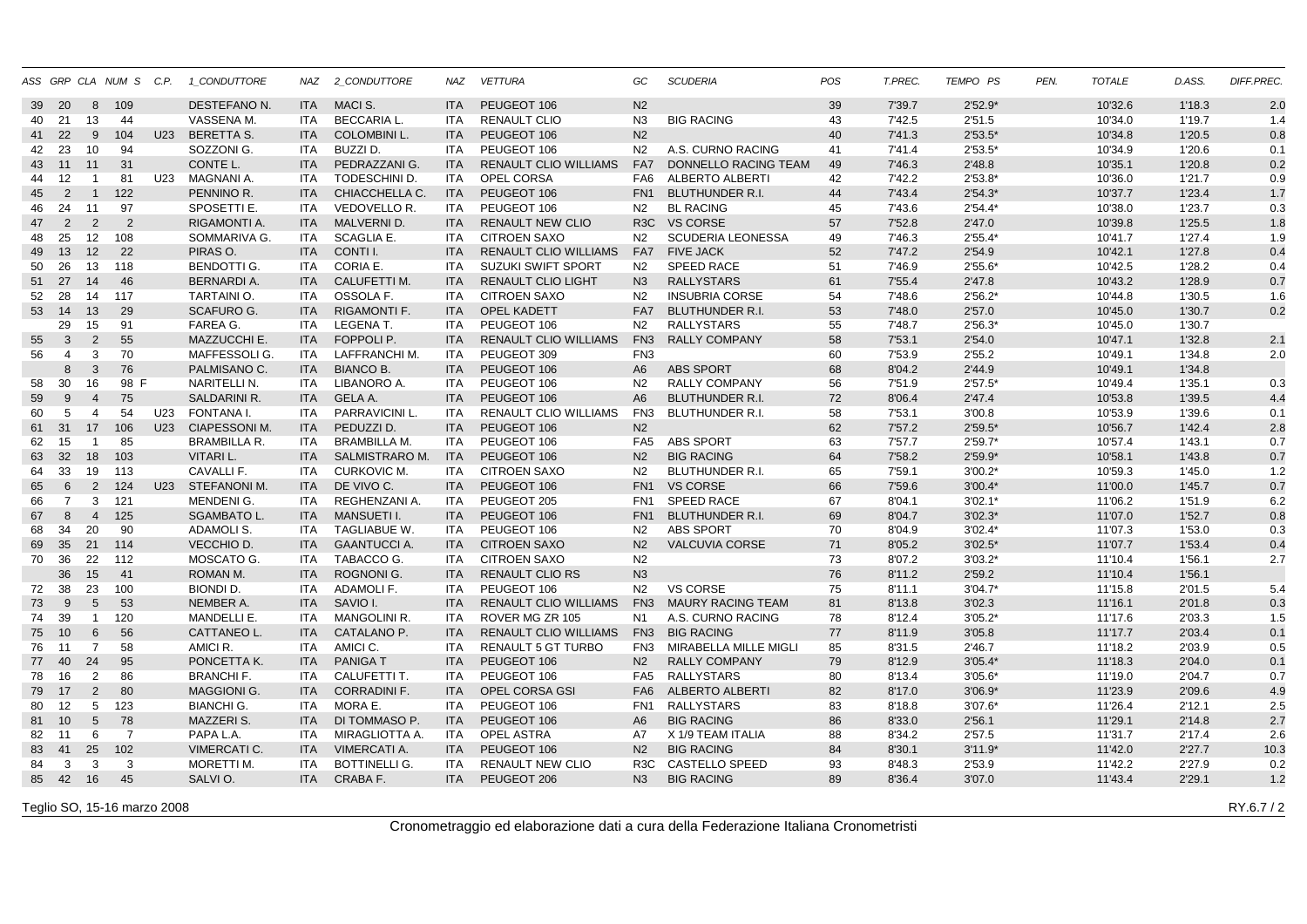|    |                |                 | ASS GRP CLA NUM S C.P. |     | 1_CONDUTTORE         |            | NAZ 2 CONDUTTORE     | NAZ                      | <b>VETTURA</b>               | GC               | <b>SCUDERIA</b>          | POS | T.PREC. | TEMPO PS  | PEN. | <b>TOTALE</b> | D.ASS. | DIFF.PREC. |
|----|----------------|-----------------|------------------------|-----|----------------------|------------|----------------------|--------------------------|------------------------------|------------------|--------------------------|-----|---------|-----------|------|---------------|--------|------------|
| 39 | 20             | 8               | 109                    |     | DESTEFANO N.         | <b>ITA</b> | MACI S.              | <b>ITA</b>               | PEUGEOT 106                  | N <sub>2</sub>   |                          | 39  | 7'39.7  | $2'52.9*$ |      | 10'32.6       | 1'18.3 | 2.0        |
| 40 | 21             | 13              | 44                     |     | VASSENA M.           | <b>ITA</b> | <b>BECCARIA L.</b>   | <b>ITA</b>               | <b>RENAULT CLIO</b>          | N <sub>3</sub>   | <b>BIG RACING</b>        | 43  | 7'42.5  | 2'51.5    |      | 10'34.0       | 1'19.7 | 1.4        |
| 41 | 22             | 9               | 104                    |     | U23 BERETTA S.       | <b>ITA</b> | <b>COLOMBINI L.</b>  | <b>ITA</b>               | PEUGEOT 106                  | N <sub>2</sub>   |                          | 40  | 7'41.3  | $2'53.5*$ |      | 10'34.8       | 1'20.5 | 0.8        |
| 42 | 23             | 10              | 94                     |     | SOZZONI G.           | ITA        | BUZZI D.             | <b>ITA</b>               | PEUGEOT 106                  | N <sub>2</sub>   | A.S. CURNO RACING        | 41  | 7'41.4  | $2'53.5*$ |      | 10'34.9       | 1'20.6 | 0.1        |
| 43 | 11             | 11              | 31                     |     | CONTE L.             | <b>ITA</b> | PEDRAZZANI G.        | <b>ITA</b>               | <b>RENAULT CLIO WILLIAMS</b> | FA7              | DONNELLO RACING TEAM     | 49  | 7'46.3  | 2'48.8    |      | 10'35.1       | 1'20.8 | 0.2        |
| 44 | 12             | -1              | 81                     | U23 | MAGNANI A.           | ITA        | <b>TODESCHINI D.</b> | <b>ITA</b>               | <b>OPEL CORSA</b>            | FA6              | ALBERTO ALBERTI          | 42  | 7'42.2  | $2'53.8*$ |      | 10'36.0       | 1'21.7 | 0.9        |
| 45 | 2              | $\mathbf{1}$    | 122                    |     | PENNINO R.           | <b>ITA</b> | CHIACCHELLA C.       | <b>ITA</b>               | PEUGEOT 106                  | FN <sub>1</sub>  | <b>BLUTHUNDER R.I.</b>   | 44  | 7'43.4  | $2'54.3*$ |      | 10'37.7       | 1'23.4 | 1.7        |
| 46 | 24             | 11              | 97                     |     | SPOSETTI E.          | ITA        | VEDOVELLO R.         | <b>ITA</b>               | PEUGEOT 106                  | N2               | <b>BL RACING</b>         | 45  | 7'43.6  | $2'54.4*$ |      | 10'38.0       | 1'23.7 | 0.3        |
| 47 | 2              | 2               | $\overline{2}$         |     | RIGAMONTI A.         | <b>ITA</b> | <b>MALVERNI D.</b>   | <b>ITA</b>               | <b>RENAULT NEW CLIO</b>      | R <sub>3</sub> C | <b>VS CORSE</b>          | 57  | 7'52.8  | 2'47.0    |      | 10'39.8       | 1'25.5 | 1.8        |
| 48 | 25             | 12              | 108                    |     | SOMMARIVA G.         | <b>ITA</b> | SCAGLIA E.           | <b>ITA</b>               | <b>CITROEN SAXO</b>          | N <sub>2</sub>   | <b>SCUDERIA LEONESSA</b> | 49  | 7'46.3  | $2'55.4*$ |      | 10'41.7       | 1'27.4 | 1.9        |
| 49 | 13             | 12              | 22                     |     | PIRAS O.             | <b>ITA</b> | CONTI I.             | <b>ITA</b>               | <b>RENAULT CLIO WILLIAMS</b> | FA7              | <b>FIVE JACK</b>         | 52  | 7'47.2  | 2'54.9    |      | 10'42.1       | 1'27.8 | 0.4        |
| 50 | 26             | 13              | 118                    |     | <b>BENDOTTI G.</b>   | <b>ITA</b> | CORIA E.             | <b>ITA</b>               | <b>SUZUKI SWIFT SPORT</b>    | N <sub>2</sub>   | <b>SPEED RACE</b>        | 51  | 7'46.9  | $2'55.6*$ |      | 10'42.5       | 1'28.2 | 0.4        |
| 51 | 27             | 14              | 46                     |     | <b>BERNARDI A.</b>   | <b>ITA</b> | <b>CALUFETTI M.</b>  | <b>ITA</b>               | <b>RENAULT CLIO LIGHT</b>    | N <sub>3</sub>   | <b>RALLYSTARS</b>        | 61  | 7'55.4  | 2'47.8    |      | 10'43.2       | 1'28.9 | 0.7        |
| 52 | 28             | 14              | 117                    |     | TARTAINI O.          | <b>ITA</b> | OSSOLA F.            | <b>ITA</b>               | <b>CITROEN SAXO</b>          | N <sub>2</sub>   | <b>INSUBRIA CORSE</b>    | 54  | 7'48.6  | $2'56.2*$ |      | 10'44.8       | 1'30.5 | 1.6        |
|    | 53 14          | 13              | 29                     |     | <b>SCAFURO G.</b>    | <b>ITA</b> | <b>RIGAMONTI F.</b>  | <b>ITA</b>               | OPEL KADETT                  | FA7              | <b>BLUTHUNDER R.I.</b>   | 53  | 7'48.0  | 2'57.0    |      | 10'45.0       | 1'30.7 | 0.2        |
|    | 29             | 15              | 91                     |     | FAREA G.             | ITA        | LEGENA T.            | <b>ITA</b>               | PEUGEOT 106                  | N <sub>2</sub>   | <b>RALLYSTARS</b>        | 55  | 7'48.7  | $2'56.3*$ |      | 10'45.0       | 1'30.7 |            |
| 55 | $\mathbf{3}$   | 2               | 55                     |     | MAZZUCCHI E.         | <b>ITA</b> | FOPPOLI P.           | <b>ITA</b>               | RENAULT CLIO WILLIAMS        | FN <sub>3</sub>  | <b>RALLY COMPANY</b>     | 58  | 7'53.1  | 2'54.0    |      | 10'47.1       | 1'32.8 | 2.1        |
| 56 | $\overline{4}$ | 3               | 70                     |     | <b>MAFFESSOLIG</b>   | ITA        | LAFFRANCHI M.        | <b>ITA</b>               | PEUGEOT 309                  | FN <sub>3</sub>  |                          | 60  | 7'53.9  | 2'55.2    |      | 10'49.1       | 1'34.8 | 2.0        |
|    | 8              | $\mathbf{3}$    | 76                     |     | PALMISANO C.         | <b>ITA</b> | <b>BIANCO B.</b>     | <b>ITA</b>               | PEUGEOT 106                  | A <sub>6</sub>   | <b>ABS SPORT</b>         | 68  | 8'04.2  | 2'44.9    |      | 10'49.1       | 1'34.8 |            |
| 58 | 30             | 16              | 98 F                   |     | NARITELLI N.         | ITA        | LIBANORO A.          |                          | PEUGEOT 106                  |                  | <b>RALLY COMPANY</b>     | 56  | 7'51.9  | $2'57.5*$ |      | 10'49.4       | 1'35.1 |            |
|    | 9              |                 |                        |     | <b>SALDARINI R.</b>  | <b>ITA</b> |                      | <b>ITA</b><br><b>ITA</b> |                              | N2               |                          |     |         |           |      |               | 1'39.5 | 0.3        |
| 59 |                | $\overline{4}$  | 75                     |     |                      |            | GELA A.              |                          | PEUGEOT 106                  | A6               | <b>BLUTHUNDER R.I.</b>   | 72  | 8'06.4  | 2'47.4    |      | 10'53.8       |        | 4.4        |
| 60 | 5              | $\overline{4}$  | 54                     | U23 | FONTANA I.           | ITA.       | PARRAVICINI L.       | <b>ITA</b>               | RENAULT CLIO WILLIAMS        | FN3              | <b>BLUTHUNDER R.I.</b>   | 58  | 7'53.1  | 3'00.8    |      | 10'53.9       | 1'39.6 | 0.1        |
|    | 61 31          | 17              | 106                    | U23 | <b>CIAPESSONI M.</b> | <b>ITA</b> | PEDUZZI D.           | <b>ITA</b>               | PEUGEOT 106                  | N <sub>2</sub>   |                          | 62  | 7'57.2  | $2'59.5*$ |      | 10'56.7       | 1'42.4 | 2.8        |
| 62 | 15             | $\overline{1}$  | 85                     |     | <b>BRAMBILLA R.</b>  | ITA        | <b>BRAMBILLA M.</b>  | <b>ITA</b>               | PEUGEOT 106                  |                  | FA5 ABS SPORT            | 63  | 7'57.7  | $2'59.7*$ |      | 10'57.4       | 1'43.1 | 0.7        |
| 63 | 32             | 18              | 103                    |     | VITARI L.            | <b>ITA</b> | SALMISTRARO M.       | <b>ITA</b>               | PEUGEOT 106                  | N <sub>2</sub>   | <b>BIG RACING</b>        | 64  | 7'58.2  | $2'59.9*$ |      | 10'58.1       | 1'43.8 | 0.7        |
| 64 | 33             | 19              | 113                    |     | CAVALLI F.           | ITA        | <b>CURKOVIC M.</b>   | ITA.                     | <b>CITROEN SAXO</b>          | N <sub>2</sub>   | <b>BLUTHUNDER R.I.</b>   | 65  | 7'59.1  | $3'00.2*$ |      | 10'59.3       | 1'45.0 | 1.2        |
| 65 | 6              | $\overline{2}$  | 124                    |     | U23 STEFANONI M.     | <b>ITA</b> | DE VIVO C.           | <b>ITA</b>               | PEUGEOT 106                  |                  | FN1 VS CORSE             | 66  | 7'59.6  | $3'00.4*$ |      | 11'00.0       | 1'45.7 | 0.7        |
| 66 | 7              | 3               | 121                    |     | MENDENI G.           | ITA        | REGHENZANI A.        | ITA                      | PEUGEOT 205                  | FN <sub>1</sub>  | <b>SPEED RACE</b>        | 67  | 8'04.1  | $3'02.1*$ |      | 11'06.2       | 1'51.9 | 6.2        |
| 67 | 8              | $\overline{4}$  | 125                    |     | <b>SGAMBATO L</b>    | <b>ITA</b> | <b>MANSUETI I.</b>   | <b>ITA</b>               | PEUGEOT 106                  | FN <sub>1</sub>  | <b>BLUTHUNDER R.I.</b>   | 69  | 8'04.7  | $3'02.3*$ |      | 11'07.0       | 1'52.7 | 0.8        |
| 68 | 34             | 20              | 90                     |     | ADAMOLI S.           | ITA        | <b>TAGLIABUE W.</b>  | <b>ITA</b>               | PEUGEOT 106                  | N <sub>2</sub>   | <b>ABS SPORT</b>         | 70  | 8'04.9  | $3'02.4*$ |      | 11'07.3       | 1'53.0 | 0.3        |
| 69 | 35             | 21              | 114                    |     | VECCHIO D.           | <b>ITA</b> | <b>GAANTUCCIA.</b>   | <b>ITA</b>               | <b>CITROEN SAXO</b>          | N <sub>2</sub>   | <b>VALCUVIA CORSE</b>    | 71  | 8'05.2  | $3'02.5*$ |      | 11'07.7       | 1'53.4 | 0.4        |
| 70 | 36             | 22              | 112                    |     | MOSCATO G.           | ITA        | TABACCO G.           | <b>ITA</b>               | <b>CITROEN SAXO</b>          | N <sub>2</sub>   |                          | 73  | 8'07.2  | $3'03.2*$ |      | 11'10.4       | 1'56.1 | 2.7        |
|    | 36             | 15              | 41                     |     | ROMAN M.             | <b>ITA</b> | <b>ROGNONI G.</b>    | <b>ITA</b>               | <b>RENAULT CLIO RS</b>       | N3               |                          | 76  | 8'11.2  | 2'59.2    |      | 11'10.4       | 1'56.1 |            |
| 72 | 38             | 23              | 100                    |     | <b>BIONDI D.</b>     | ITA        | <b>ADAMOLIF.</b>     | <b>ITA</b>               | PEUGEOT 106                  | N <sub>2</sub>   | <b>VS CORSE</b>          | 75  | 8'11.1  | $3'04.7*$ |      | 11'15.8       | 2'01.5 | 5.4        |
| 73 | 9              | $5\phantom{.0}$ | 53                     |     | NEMBER A.            | <b>ITA</b> | SAVIO I.             | <b>ITA</b>               | <b>RENAULT CLIO WILLIAMS</b> | FN <sub>3</sub>  | <b>MAURY RACING TEAM</b> | 81  | 8'13.8  | 3'02.3    |      | 11'16.1       | 2'01.8 | 0.3        |
| 74 | 39             | $\overline{1}$  | 120                    |     | <b>MANDELLI E.</b>   | ITA        | <b>MANGOLINI R.</b>  | <b>ITA</b>               | ROVER MG ZR 105              | N1               | A.S. CURNO RACING        | 78  | 8'12.4  | $3'05.2*$ |      | 11'17.6       | 2'03.3 | 1.5        |
| 75 | 10             | 6               | 56                     |     | CATTANEO L.          | <b>ITA</b> | CATALANO P.          | <b>ITA</b>               | RENAULT CLIO WILLIAMS        |                  | FN3 BIG RACING           | 77  | 8'11.9  | 3'05.8    |      | 11'17.7       | 2'03.4 | 0.1        |
| 76 | 11             | $\overline{7}$  | 58                     |     | AMICI R.             | ITA.       | AMICI C.             | <b>ITA</b>               | <b>RENAULT 5 GT TURBO</b>    | FN3              | MIRABELLA MILLE MIGLI    | 85  | 8'31.5  | 2'46.7    |      | 11'18.2       | 2'03.9 | 0.5        |
|    | 77 40          | 24              | 95                     |     | PONCETTA K.          | <b>ITA</b> | <b>PANIGAT</b>       | <b>ITA</b>               | PEUGEOT 106                  | N <sub>2</sub>   | <b>RALLY COMPANY</b>     | 79  | 8'12.9  | $3'05.4*$ |      | 11'18.3       | 2'04.0 | 0.1        |
| 78 | 16             | $\overline{2}$  | 86                     |     | <b>BRANCHIF.</b>     | <b>ITA</b> | CALUFETTI T.         | <b>ITA</b>               | PEUGEOT 106                  |                  | FA5 RALLYSTARS           | 80  | 8'13.4  | $3'05.6*$ |      | 11'19.0       | 2'04.7 | 0.7        |
| 79 | 17             | 2               | 80                     |     | <b>MAGGIONI G.</b>   | <b>ITA</b> | <b>CORRADINI F.</b>  | <b>ITA</b>               | <b>OPEL CORSA GSI</b>        |                  | FA6 ALBERTO ALBERTI      | 82  | 8'17.0  | $3'06.9*$ |      | 11'23.9       | 2'09.6 | 4.9        |
| 80 | 12             | 5               | 123                    |     | <b>BIANCHI G.</b>    | <b>ITA</b> | MORA E.              | <b>ITA</b>               | PEUGEOT 106                  | FN <sub>1</sub>  | <b>RALLYSTARS</b>        | 83  | 8'18.8  | $3'07.6*$ |      | 11'26.4       | 2'12.1 | 2.5        |
| 81 | 10             | $5\phantom{.0}$ | 78                     |     | <b>MAZZERIS.</b>     | <b>ITA</b> | DI TOMMASO P.        | <b>ITA</b>               | PEUGEOT 106                  | A6               | <b>BIG RACING</b>        | 86  | 8'33.0  | 2'56.1    |      | 11'29.1       | 2'14.8 | 2.7        |
| 82 | 11             | 6               | $\overline{7}$         |     | PAPA L.A.            | <b>ITA</b> | MIRAGLIOTTA A.       | <b>ITA</b>               | OPEL ASTRA                   | A7               | X 1/9 TEAM ITALIA        | 88  | 8'34.2  | 2'57.5    |      | 11'31.7       | 2'17.4 | 2.6        |
| 83 | 41             | 25              | 102                    |     | <b>VIMERCATI C.</b>  | <b>ITA</b> | <b>VIMERCATI A.</b>  | <b>ITA</b>               | PEUGEOT 106                  | N <sub>2</sub>   | <b>BIG RACING</b>        | 84  | 8'30.1  | $3'11.9*$ |      | 11'42.0       | 2'27.7 | 10.3       |
| 84 | 3              | 3               | 3                      |     | MORETTI M.           | <b>ITA</b> | <b>BOTTINELLI G.</b> | <b>ITA</b>               | <b>RENAULT NEW CLIO</b>      | R <sub>3</sub> C | CASTELLO SPEED           | 93  | 8'48.3  | 2'53.9    |      | 11'42.2       | 2'27.9 | 0.2        |
|    | 85 42          | 16              | 45                     |     | SALVI O.             | <b>ITA</b> | CRABA F.             | <b>ITA</b>               | PEUGEOT 206                  | N3               | <b>BIG RACING</b>        | 89  | 8'36.4  | 3'07.0    |      | 11'43.4       | 2'29.1 | 1.2        |
|    |                |                 |                        |     |                      |            |                      |                          |                              |                  |                          |     |         |           |      |               |        |            |

Teglio SO, 15-16 marzo 2008

Cronometraggio ed elaborazione dati a cura della Federazione Italiana Cronometristi

RY.6.7 / 2